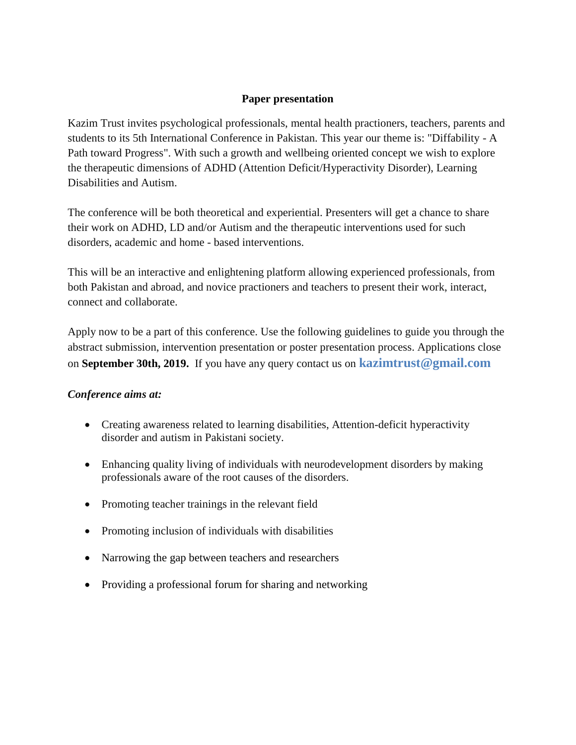#### **Paper presentation**

Kazim Trust invites psychological professionals, mental health practioners, teachers, parents and students to its 5th International Conference in Pakistan. This year our theme is: "Diffability - A Path toward Progress". With such a growth and wellbeing oriented concept we wish to explore the therapeutic dimensions of ADHD (Attention Deficit/Hyperactivity Disorder), Learning Disabilities and Autism.

The conference will be both theoretical and experiential. Presenters will get a chance to share their work on ADHD, LD and/or Autism and the therapeutic interventions used for such disorders, academic and home - based interventions.

This will be an interactive and enlightening platform allowing experienced professionals, from both Pakistan and abroad, and novice practioners and teachers to present their work, interact, connect and collaborate.

Apply now to be a part of this conference. Use the following guidelines to guide you through the abstract submission, intervention presentation or poster presentation process. Applications close on **September 30th, 2019.** If you have any query contact us on **kazimtrust@gmail.com**

### *Conference aims at:*

- Creating awareness related to learning disabilities, Attention-deficit hyperactivity disorder and autism in Pakistani society.
- Enhancing quality living of individuals with neurodevelopment disorders by making professionals aware of the root causes of the disorders.
- Promoting teacher trainings in the relevant field
- Promoting inclusion of individuals with disabilities
- Narrowing the gap between teachers and researchers
- Providing a professional forum for sharing and networking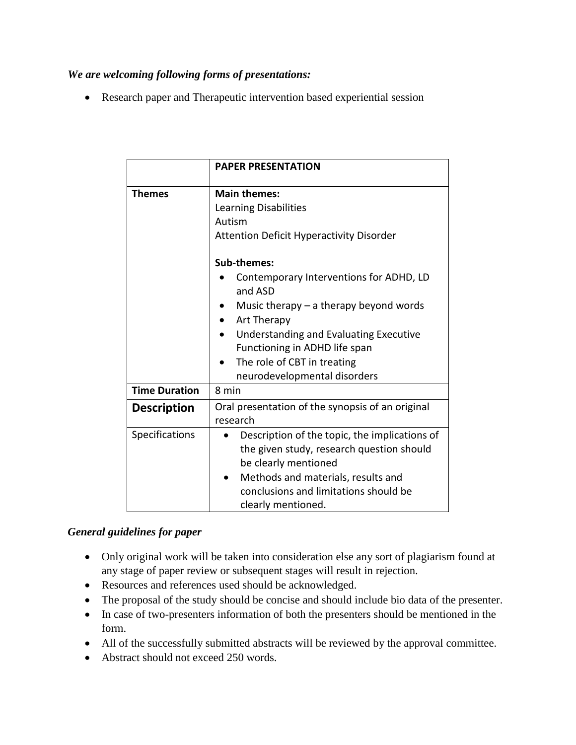# *We are welcoming following forms of presentations:*

Research paper and Therapeutic intervention based experiential session

|                      | <b>PAPER PRESENTATION</b>                                                                                                                                                                                                              |
|----------------------|----------------------------------------------------------------------------------------------------------------------------------------------------------------------------------------------------------------------------------------|
| Themes               | <b>Main themes:</b><br><b>Learning Disabilities</b><br>Autism<br><b>Attention Deficit Hyperactivity Disorder</b>                                                                                                                       |
|                      | Sub-themes:<br>Contemporary Interventions for ADHD, LD<br>and ASD<br>Music therapy $-$ a therapy beyond words<br>Art Therapy<br>Understanding and Evaluating Executive<br>Functioning in ADHD life span<br>The role of CBT in treating |
| <b>Time Duration</b> | neurodevelopmental disorders<br>8 min                                                                                                                                                                                                  |
| <b>Description</b>   | Oral presentation of the synopsis of an original<br>research                                                                                                                                                                           |
| Specifications       | Description of the topic, the implications of<br>the given study, research question should<br>be clearly mentioned<br>Methods and materials, results and<br>conclusions and limitations should be<br>clearly mentioned.                |

### *General guidelines for paper*

- Only original work will be taken into consideration else any sort of plagiarism found at any stage of paper review or subsequent stages will result in rejection.
- Resources and references used should be acknowledged.
- The proposal of the study should be concise and should include bio data of the presenter.
- In case of two-presenters information of both the presenters should be mentioned in the form.
- All of the successfully submitted abstracts will be reviewed by the approval committee.
- Abstract should not exceed 250 words.